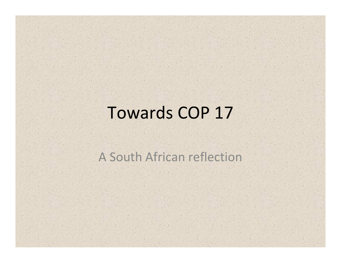#### Towards COP 17

A South African reflection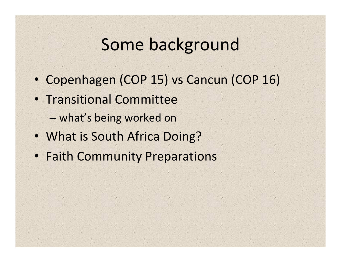#### Some background

- Copenhagen (COP 15) vs Cancun (COP 16)
- Transitional Committee what's being worked on
- What is South Africa Doing?
- Faith Community Preparations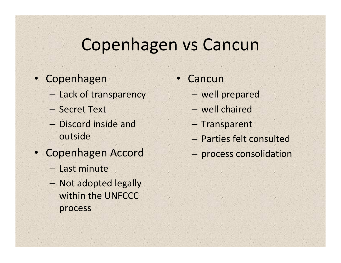### Copenhagen vs Cancun

- Copenhagen
	- Lack of transparency
	- Secret Text
	- Discord inside and outside
- • Copenhagen Accord
	- Last minute
	- Not adopted legally within the UNFCCC process
- •• Cancun
	- well prepared
	- well chaired
	- Transparent
	- Parties felt consulted
	- process consolidation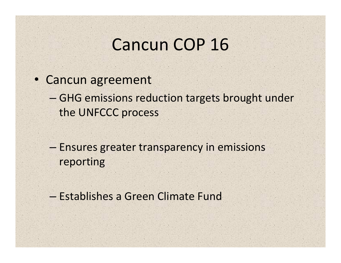### Cancun COP 16

• Cancun agreement

 GHG emissions reduction targets brought under the UNFCCC process

- Ensures greater transparency in emissions reporting
- Establishes a Green Climate Fund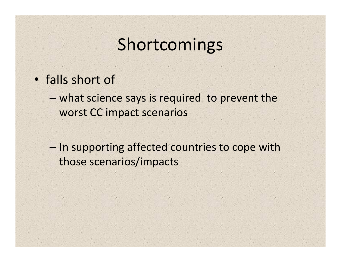## Shortcomings

• falls short of

 what science says is required to prevent the worst CC impact scenarios

- In supporting affected countries to cope with those scenarios/impacts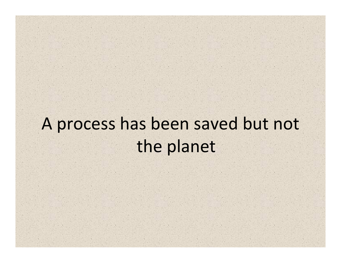# A process has been saved but not the planet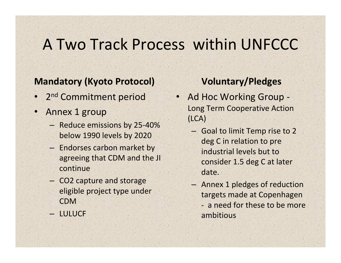#### A Two Track Process within UNFCCC

#### **Mandatory (Kyoto Protocol)**

- 2<sup>nd</sup> Commitment period
- • Annex 1 group
	- Reduce emissions by 25 ‐40% below 1990 levels by 2020
	- Endorses carbon market by agreeing that CDM and the JI continue
	- CO2 capture and storage eligible project type under CDM
	- LULUCF

#### **Voluntary/Pledges**

- Ad Hoc Working Group ‐ Long Term Cooperative Action (LCA)
	- Goal to limit Temp rise to 2 deg C in relation to pre industrial levels but to consider 1.5 deg C at later date.
	- Annex 1 pledges of reduction targets made at Copenhagen ‐ a need for these to be more ambitious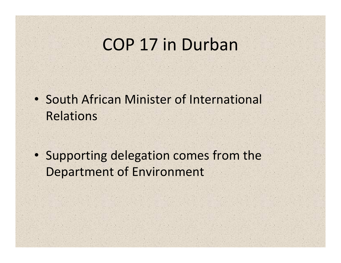### COP 17 in Durban

• South African Minister of International Relations

• Supporting delegation comes from the Department of Environment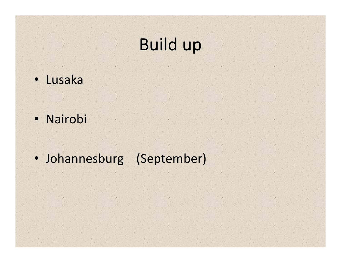## Build up

• Lusaka

• Nairobi

• Johannesburg (September)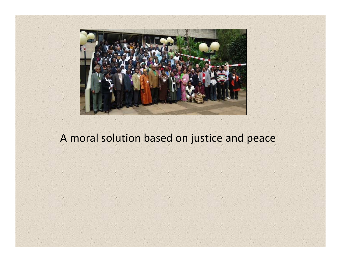

#### A moral solution based on justice and peace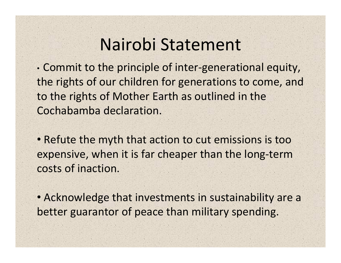#### Nairobi Statement

• Commit to the principle of inter‐generational equity, the rights of our children for generations to come, and to the rights of Mother Earth as outlined in the Cochabamba declaration.

• Refute the myth that action to cut emissions is too expensive, when it is far cheaper than the long-term costs of inaction.

• Acknowledge that investments in sustainability are a better guarantor of peace than military spending.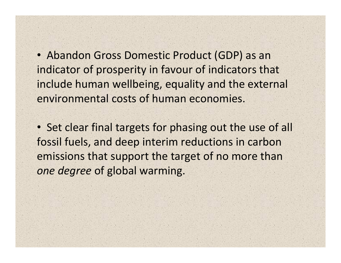• Abandon Gross Domestic Product (GDP) as an indicator of prosperity in favour of indicators that include human wellbeing, equality and the external environmental costs of human economies.

• Set clear final targets for phasing out the use of all fossil fuels, and deep interim reductions in carbon emissions that support the target of no more than *one degree* of global warming.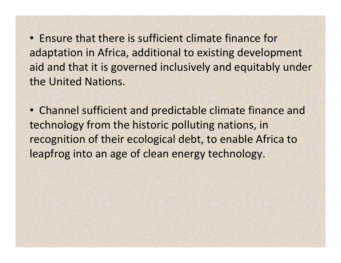• Ensure that there is sufficient climate finance for adaptation in Africa, additional to existing development aid and that it is governed inclusively and equitably under the United Nations.

• Channel sufficient and predictable climate finance and technology from the historic polluting nations, in recognition of their ecological debt, to enable Africa to leapfrog into an age of clean energy technology.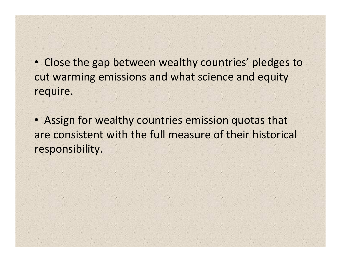• Close the gap between wealthy countries' pledges to cut warming emissions and what science and equity require.

• Assign for wealthy countries emission quotas that are consistent with the full measure of their historical responsibility.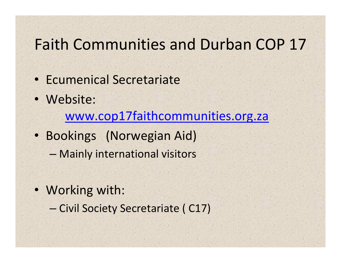#### Faith Communities and Durban COP 17

- Ecumenical Secretariate
- Website:

www.cop17faithcommunities.org.za

- Bookings (Norwegian Aid)
	- Mainly international visitors
- Working with:
	- Civil Society Secretariate ( C17)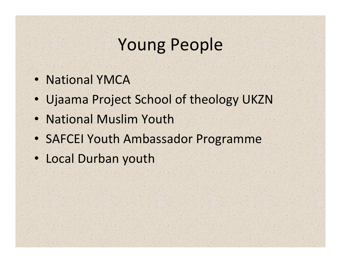## Young People

- National YMCA
- Ujaama Project School of theology UKZN
- National Muslim Youth
- SAFCEI Youth Ambassador Programme
- Local Durban youth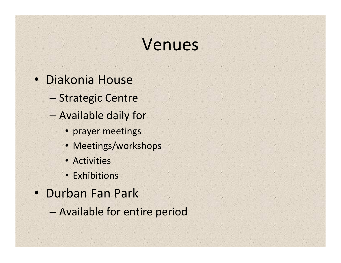#### Venues

- Diakonia House
	- Strategic Centre
	- Available daily for
		- prayer meetings
		- Meetings/workshops
		- Activities
		- Exhibitions
- Durban Fan Park
	- Available for entire period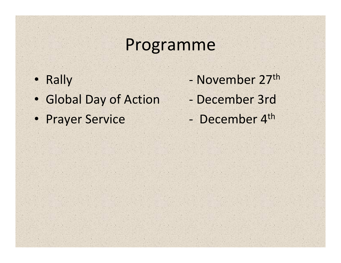#### Programme

- Rally
- Global Day of Action **Face December 3rd**
- •• Prayer Service **•** December 4<sup>th</sup>
- November 27th
- 
-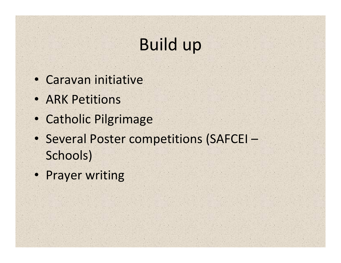## Build up

- Caravan initiative
- ARK Petitions
- Catholic Pilgrimage
- Several Poster competitions (SAFCEI Schools)
- Prayer writing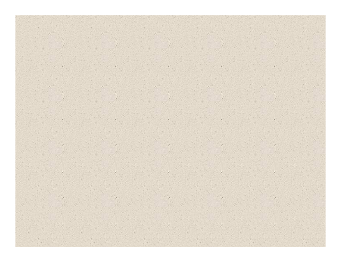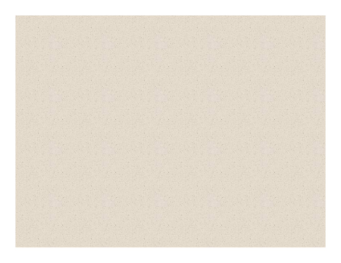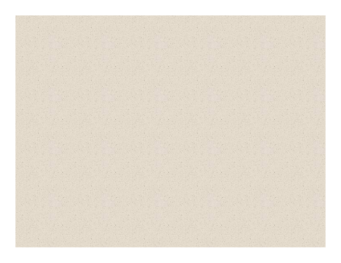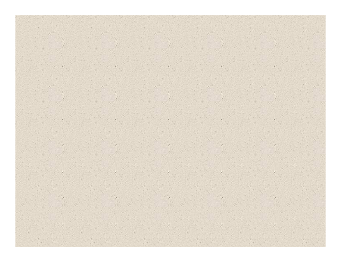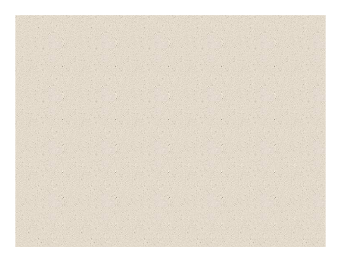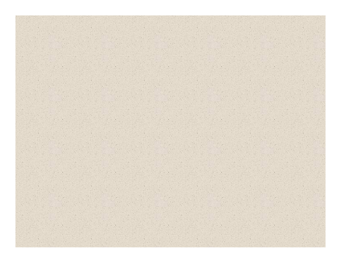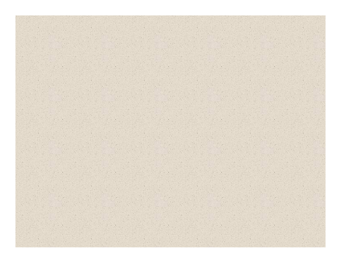